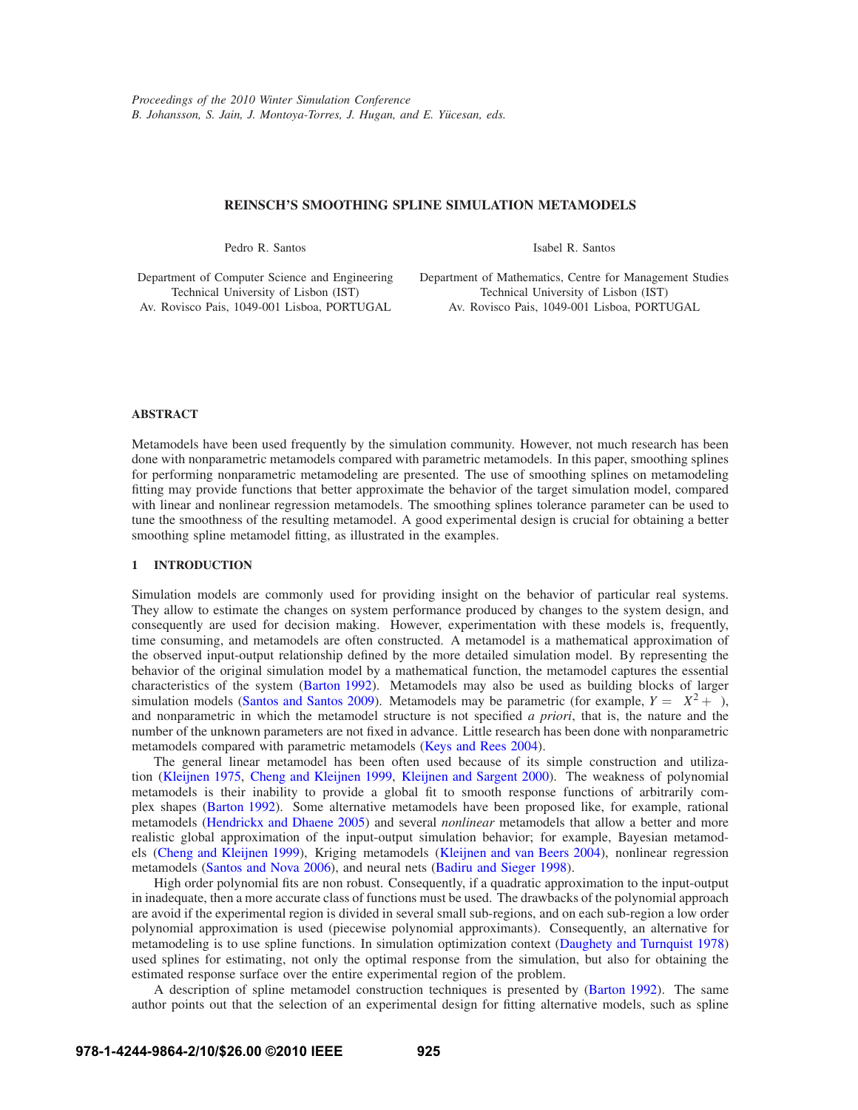## **REINSCH'S SMOOTHING SPLINE SIMULATION METAMODELS**

Pedro R. Santos

Isabel R. Santos

Department of Computer Science and Engineering Technical University of Lisbon (IST) Av. Rovisco Pais, 1049-001 Lisboa, PORTUGAL

Department of Mathematics, Centre for Management Studies Technical University of Lisbon (IST) Av. Rovisco Pais, 1049-001 Lisboa, PORTUGAL

## **ABSTRACT**

Metamodels have been used frequently by the simulation community. However, not much research has been done with nonparametric metamodels compared with parametric metamodels. In this paper, smoothing splines for performing nonparametric metamodeling are presented. The use of smoothing splines on metamodeling fitting may provide functions that better approximate the behavior of the target simulation model, compared with linear and nonlinear regression metamodels. The smoothing splines tolerance parameter can be used to tune the smoothness of the resulting metamodel. A good experimental design is crucial for obtaining a better smoothing spline metamodel fitting, as illustrated in the examples.

# **1 INTRODUCTION**

Simulation models are commonly used for providing insight on the behavior of particular real systems. They allow to estimate the changes on system performance produced by changes to the system design, and consequently are used for decision making. However, experimentation with these models is, frequently, time consuming, and metamodels are often constructed. A metamodel is a mathematical approximation of the observed input-output relationship defined by the more detailed simulation model. By representing the behavior of the original simulation model by a mathematical function, the metamodel captures the essential characteristics of the system (Barton 1992). Metamodels may also be used as building blocks of larger simulation models (Santos and Santos 2009). Metamodels may be parametric (for example,  $Y = \theta X^2 + \epsilon$ ), and nonparametric in which the metamodel structure is not specified *a priori*, that is, the nature and the number of the unknown parameters are not fixed in advance. Little research has been done with nonparametric metamodels compared with parametric metamodels (Keys and Rees 2004).

The general linear metamodel has been often used because of its simple construction and utilization (Kleijnen 1975, Cheng and Kleijnen 1999, Kleijnen and Sargent 2000). The weakness of polynomial metamodels is their inability to provide a global fit to smooth response functions of arbitrarily complex shapes (Barton 1992). Some alternative metamodels have been proposed like, for example, rational metamodels (Hendrickx and Dhaene 2005) and several *nonlinear* metamodels that allow a better and more realistic global approximation of the input-output simulation behavior; for example, Bayesian metamodels (Cheng and Kleijnen 1999), Kriging metamodels (Kleijnen and van Beers 2004), nonlinear regression metamodels (Santos and Nova 2006), and neural nets (Badiru and Sieger 1998).

High order polynomial fits are non robust. Consequently, if a quadratic approximation to the input-output in inadequate, then a more accurate class of functions must be used. The drawbacks of the polynomial approach are avoid if the experimental region is divided in several small sub-regions, and on each sub-region a low order polynomial approximation is used (piecewise polynomial approximants). Consequently, an alternative for metamodeling is to use spline functions. In simulation optimization context (Daughety and Turnquist 1978) used splines for estimating, not only the optimal response from the simulation, but also for obtaining the estimated response surface over the entire experimental region of the problem.

A description of spline metamodel construction techniques is presented by (Barton 1992). The same author points out that the selection of an experimental design for fitting alternative models, such as spline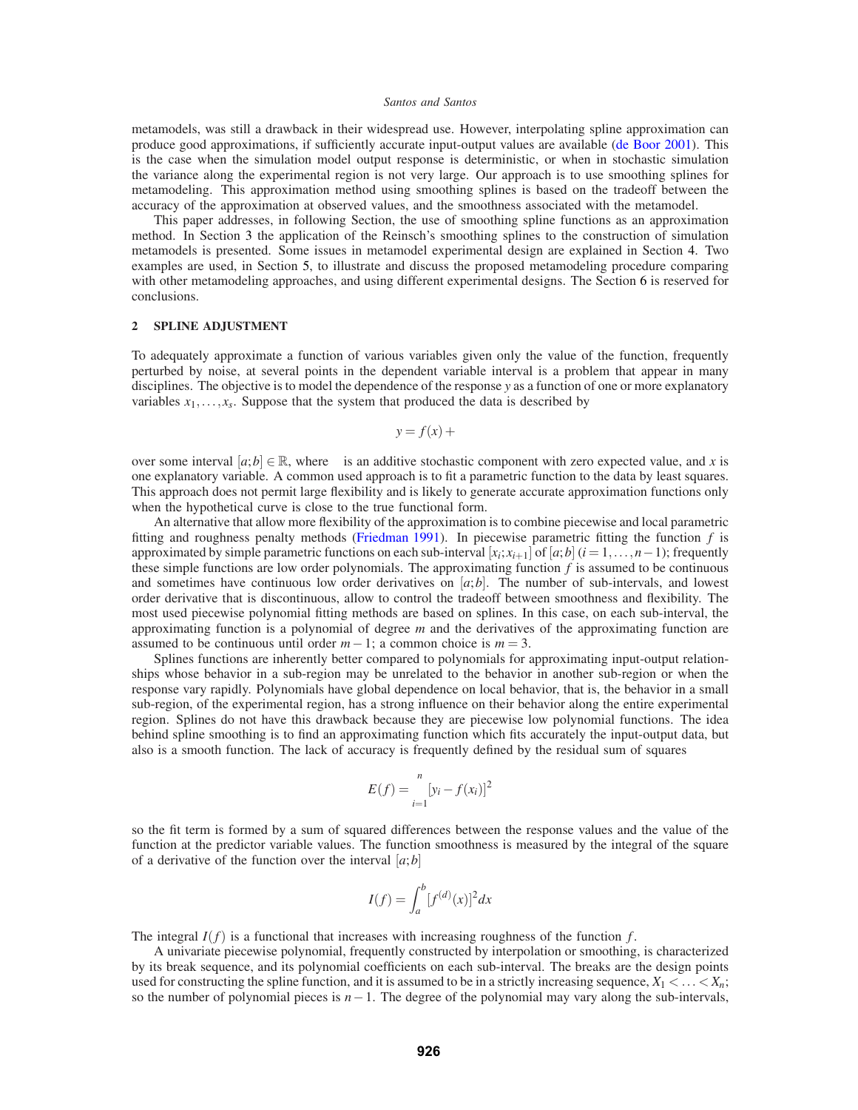metamodels, was still a drawback in their widespread use. However, interpolating spline approximation can produce good approximations, if sufficiently accurate input-output values are available (de Boor 2001). This is the case when the simulation model output response is deterministic, or when in stochastic simulation the variance along the experimental region is not very large. Our approach is to use smoothing splines for metamodeling. This approximation method using smoothing splines is based on the tradeoff between the accuracy of the approximation at observed values, and the smoothness associated with the metamodel.

This paper addresses, in following Section, the use of smoothing spline functions as an approximation method. In Section 3 the application of the Reinsch's smoothing splines to the construction of simulation metamodels is presented. Some issues in metamodel experimental design are explained in Section 4. Two examples are used, in Section 5, to illustrate and discuss the proposed metamodeling procedure comparing with other metamodeling approaches, and using different experimental designs. The Section 6 is reserved for conclusions.

### **2 SPLINE ADJUSTMENT**

To adequately approximate a function of various variables given only the value of the function, frequently perturbed by noise, at several points in the dependent variable interval is a problem that appear in many disciplines. The objective is to model the dependence of the response *y* as a function of one or more explanatory variables  $x_1, \ldots, x_s$ . Suppose that the system that produced the data is described by

$$
y = f(x) + \varepsilon
$$

over some interval  $[a,b] \in \mathbb{R}$ , where  $\varepsilon$  is an additive stochastic component with zero expected value, and *x* is one explanatory variable. A common used approach is to fit a parametric function to the data by least squares. This approach does not permit large flexibility and is likely to generate accurate approximation functions only when the hypothetical curve is close to the true functional form.

An alternative that allow more flexibility of the approximation is to combine piecewise and local parametric fitting and roughness penalty methods (Friedman 1991). In piecewise parametric fitting the function *f* is approximated by simple parametric functions on each sub-interval  $[x_i; x_{i+1}]$  of  $[a; b]$  ( $i = 1, \ldots, n-1$ ); frequently these simple functions are low order polynomials. The approximating function *f* is assumed to be continuous and sometimes have continuous low order derivatives on [*a*;*b*]. The number of sub-intervals, and lowest order derivative that is discontinuous, allow to control the tradeoff between smoothness and flexibility. The most used piecewise polynomial fitting methods are based on splines. In this case, on each sub-interval, the approximating function is a polynomial of degree *m* and the derivatives of the approximating function are assumed to be continuous until order  $m-1$ ; a common choice is  $m=3$ .

Splines functions are inherently better compared to polynomials for approximating input-output relationships whose behavior in a sub-region may be unrelated to the behavior in another sub-region or when the response vary rapidly. Polynomials have global dependence on local behavior, that is, the behavior in a small sub-region, of the experimental region, has a strong influence on their behavior along the entire experimental region. Splines do not have this drawback because they are piecewise low polynomial functions. The idea behind spline smoothing is to find an approximating function which fits accurately the input-output data, but also is a smooth function. The lack of accuracy is frequently defined by the residual sum of squares

$$
E(f) = \sum_{i=1}^{n} [y_i - f(x_i)]^2
$$

so the fit term is formed by a sum of squared differences between the response values and the value of the function at the predictor variable values. The function smoothness is measured by the integral of the square of a derivative of the function over the interval  $[a; b]$ 

$$
I(f) = \int_{a}^{b} [f^{(d)}(x)]^2 dx
$$

The integral  $I(f)$  is a functional that increases with increasing roughness of the function  $f$ .

A univariate piecewise polynomial, frequently constructed by interpolation or smoothing, is characterized by its break sequence, and its polynomial coefficients on each sub-interval. The breaks are the design points used for constructing the spline function, and it is assumed to be in a strictly increasing sequence,  $X_1 < \ldots < X_n$ ; so the number of polynomial pieces is *n*−1. The degree of the polynomial may vary along the sub-intervals,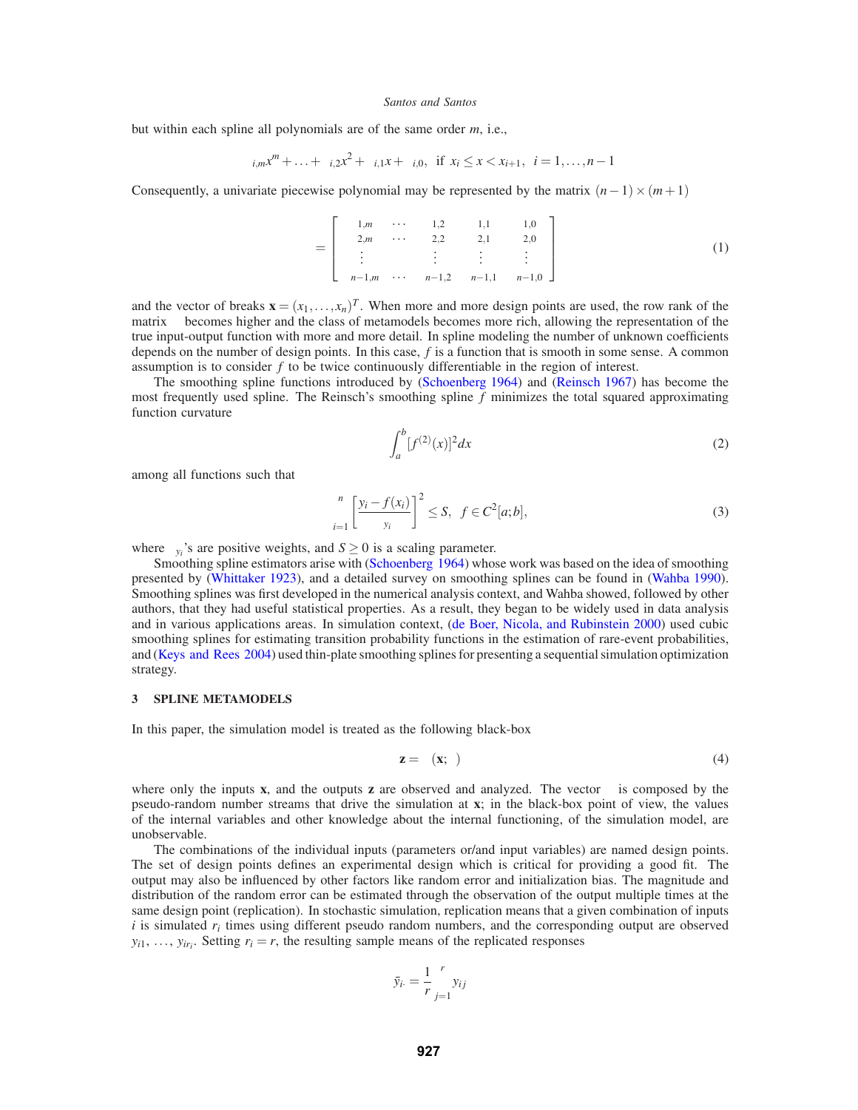but within each spline all polynomials are of the same order *m*, i.e.,

$$
\theta_{i,m}x^m + \ldots + \theta_{i,2}x^2 + \theta_{i,1}x + \theta_{i,0}
$$
, if  $x_i \leq x < x_{i+1}$ ,  $i = 1, \ldots, n-1$ 

Consequently, a univariate piecewise polynomial may be represented by the matrix  $(n-1) \times (m+1)$ 

$$
\Theta = \left[ \begin{array}{cccc} \theta_{1,m} & \dots & \theta_{1,2} & \theta_{1,1} & \theta_{1,0} \\ \theta_{2,m} & \dots & \theta_{2,2} & \theta_{2,1} & \theta_{2,0} \\ \vdots & \vdots & \vdots & \vdots \\ \theta_{n-1,m} & \dots & \theta_{n-1,2} & \theta_{n-1,1} & \theta_{n-1,0} \end{array} \right]
$$
(1)

and the vector of breaks  $\mathbf{x} = (x_1, \dots, x_n)^T$ . When more and more design points are used, the row rank of the matrix Θ becomes higher and the class of metamodels becomes more rich, allowing the representation of the true input-output function with more and more detail. In spline modeling the number of unknown coefficients depends on the number of design points. In this case, *f* is a function that is smooth in some sense. A common assumption is to consider *f* to be twice continuously differentiable in the region of interest.

The smoothing spline functions introduced by (Schoenberg 1964) and (Reinsch 1967) has become the most frequently used spline. The Reinsch's smoothing spline *f* minimizes the total squared approximating function curvature

$$
\int_{a}^{b} [f^{(2)}(x)]^{2} dx
$$
 (2)

among all functions such that

$$
\sum_{i=1}^{n} \left[ \frac{y_i - f(x_i)}{\delta_{y_i}} \right]^2 \le S, \ f \in C^2[a; b], \tag{3}
$$

where  $\delta_{y_i}$ 's are positive weights, and  $S \ge 0$  is a scaling parameter.

Smoothing spline estimators arise with (Schoenberg 1964) whose work was based on the idea of smoothing presented by (Whittaker 1923), and a detailed survey on smoothing splines can be found in (Wahba 1990). Smoothing splines was first developed in the numerical analysis context, and Wahba showed, followed by other authors, that they had useful statistical properties. As a result, they began to be widely used in data analysis and in various applications areas. In simulation context, (de Boer, Nicola, and Rubinstein 2000) used cubic smoothing splines for estimating transition probability functions in the estimation of rare-event probabilities, and (Keys and Rees 2004) used thin-plate smoothing splines for presenting a sequential simulation optimization strategy.

#### **3 SPLINE METAMODELS**

In this paper, the simulation model is treated as the following black-box

$$
\mathbf{z} = \eta(\mathbf{x}; \tau) \tag{4}
$$

where only the inputs **x**, and the outputs **z** are observed and analyzed. The vector  $\tau$  is composed by the pseudo-random number streams that drive the simulation at **x**; in the black-box point of view, the values of the internal variables and other knowledge about the internal functioning, of the simulation model, are unobservable.

The combinations of the individual inputs (parameters or/and input variables) are named design points. The set of design points defines an experimental design which is critical for providing a good fit. The output may also be influenced by other factors like random error and initialization bias. The magnitude and distribution of the random error can be estimated through the observation of the output multiple times at the same design point (replication). In stochastic simulation, replication means that a given combination of inputs *i* is simulated  $r_i$  times using different pseudo random numbers, and the corresponding output are observed  $y_{i1}, \ldots, y_{ir_i}$ . Setting  $r_i = r$ , the resulting sample means of the replicated responses

$$
\bar{y}_i = \frac{1}{r} \sum_{j=1}^r y_{ij}
$$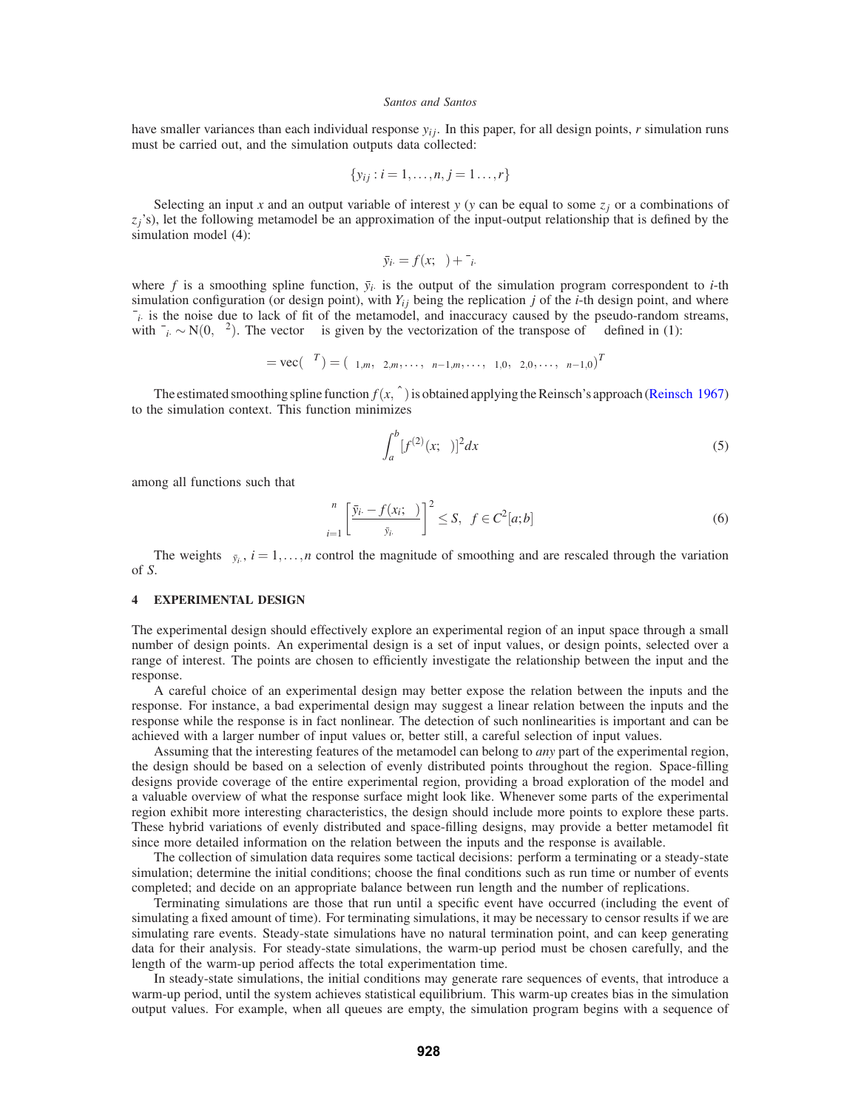have smaller variances than each individual response  $y_{ij}$ . In this paper, for all design points,  $r$  simulation runs must be carried out, and the simulation outputs data collected:

$$
\{y_{ij} : i = 1, \dots, n, j = 1 \dots, r\}
$$

Selecting an input *x* and an output variable of interest *y* (*y* can be equal to some  $z_j$  or a combinations of  $z_j$ 's), let the following metamodel be an approximation of the input-output relationship that is defined by the simulation model (4):

$$
\bar{y}_{i\cdot} = f(x; \theta) + \bar{\varepsilon}_{i\cdot}
$$

where  $f$  is a smoothing spline function,  $\bar{y}_i$  is the output of the simulation program correspondent to *i*-th simulation configuration (or design point), with  $Y_{ij}$  being the replication  $j$  of the  $i$ -th design point, and where  $\bar{\varepsilon}_i$  is the noise due to lack of fit of the metamodel, and inaccuracy caused by the pseudo-random streams, with  $\bar{\varepsilon}_i \sim N(0, \sigma^2)$ . The vector  $\theta$  is given by the vectorization of the transpose of  $\Theta$  defined in (1):

$$
\theta = \text{vec}(\Theta^T) = (\theta_{1,m}, \theta_{2,m}, \dots, \theta_{n-1,m}, \dots, \theta_{1,0}, \theta_{2,0}, \dots, \theta_{n-1,0})^T
$$

The estimated smoothing spline function  $f(x, \hat{\theta})$  is obtained applying the Reinsch's approach (Reinsch 1967) to the simulation context. This function minimizes

$$
\int_{a}^{b} [f^{(2)}(x;\theta)]^2 dx
$$
 (5)

among all functions such that

$$
\sum_{i=1}^{n} \left[ \frac{\bar{y}_{i\cdot} - f(x_{i}; \theta)}{\delta_{\bar{y}_{i\cdot}}} \right]^2 \le S, \ f \in C^2[a; b]
$$
\n
$$
(6)
$$

The weights  $\delta_{\bar{y}_i}$ ,  $i = 1, \ldots, n$  control the magnitude of smoothing and are rescaled through the variation of *S*.

#### **4 EXPERIMENTAL DESIGN**

The experimental design should effectively explore an experimental region of an input space through a small number of design points. An experimental design is a set of input values, or design points, selected over a range of interest. The points are chosen to efficiently investigate the relationship between the input and the response.

A careful choice of an experimental design may better expose the relation between the inputs and the response. For instance, a bad experimental design may suggest a linear relation between the inputs and the response while the response is in fact nonlinear. The detection of such nonlinearities is important and can be achieved with a larger number of input values or, better still, a careful selection of input values.

Assuming that the interesting features of the metamodel can belong to *any* part of the experimental region, the design should be based on a selection of evenly distributed points throughout the region. Space-filling designs provide coverage of the entire experimental region, providing a broad exploration of the model and a valuable overview of what the response surface might look like. Whenever some parts of the experimental region exhibit more interesting characteristics, the design should include more points to explore these parts. These hybrid variations of evenly distributed and space-filling designs, may provide a better metamodel fit since more detailed information on the relation between the inputs and the response is available.

The collection of simulation data requires some tactical decisions: perform a terminating or a steady-state simulation; determine the initial conditions; choose the final conditions such as run time or number of events completed; and decide on an appropriate balance between run length and the number of replications.

Terminating simulations are those that run until a specific event have occurred (including the event of simulating a fixed amount of time). For terminating simulations, it may be necessary to censor results if we are simulating rare events. Steady-state simulations have no natural termination point, and can keep generating data for their analysis. For steady-state simulations, the warm-up period must be chosen carefully, and the length of the warm-up period affects the total experimentation time.

In steady-state simulations, the initial conditions may generate rare sequences of events, that introduce a warm-up period, until the system achieves statistical equilibrium. This warm-up creates bias in the simulation output values. For example, when all queues are empty, the simulation program begins with a sequence of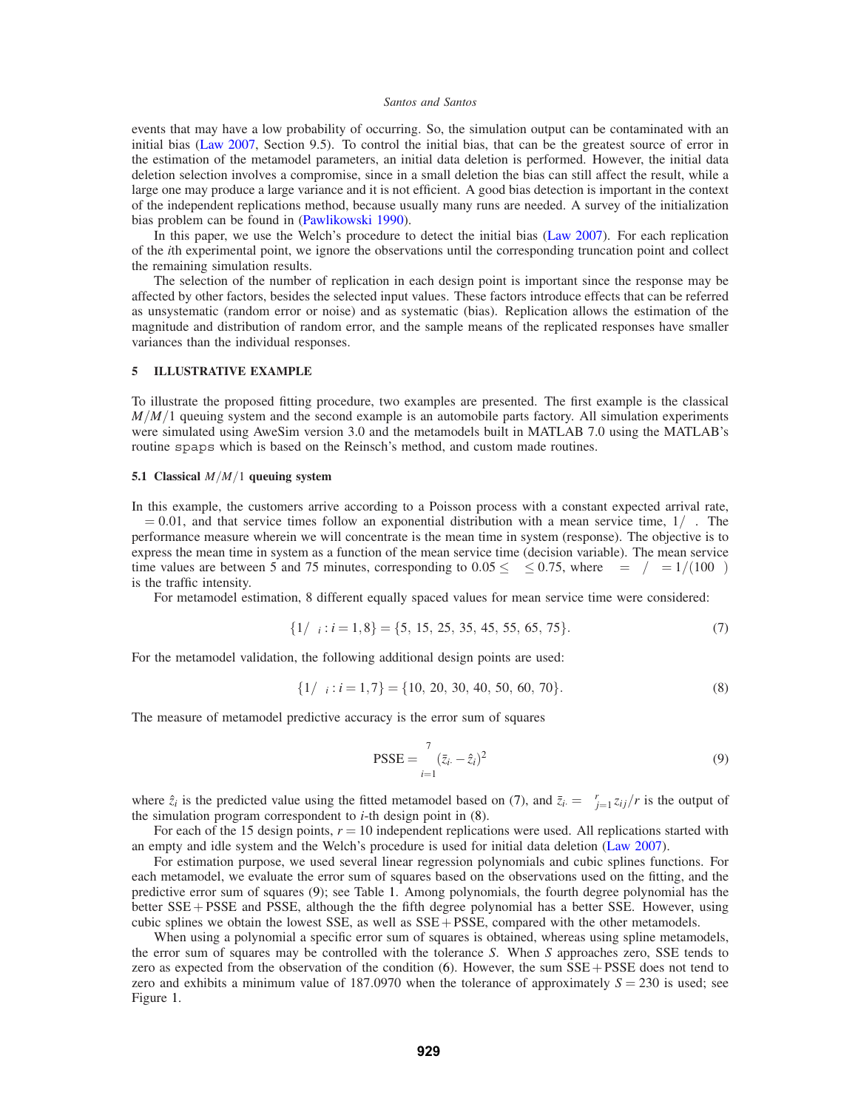events that may have a low probability of occurring. So, the simulation output can be contaminated with an initial bias (Law 2007, Section 9.5). To control the initial bias, that can be the greatest source of error in the estimation of the metamodel parameters, an initial data deletion is performed. However, the initial data deletion selection involves a compromise, since in a small deletion the bias can still affect the result, while a large one may produce a large variance and it is not efficient. A good bias detection is important in the context of the independent replications method, because usually many runs are needed. A survey of the initialization bias problem can be found in (Pawlikowski 1990).

In this paper, we use the Welch's procedure to detect the initial bias (Law 2007). For each replication of the *i*th experimental point, we ignore the observations until the corresponding truncation point and collect the remaining simulation results.

The selection of the number of replication in each design point is important since the response may be affected by other factors, besides the selected input values. These factors introduce effects that can be referred as unsystematic (random error or noise) and as systematic (bias). Replication allows the estimation of the magnitude and distribution of random error, and the sample means of the replicated responses have smaller variances than the individual responses.

## **5 ILLUSTRATIVE EXAMPLE**

To illustrate the proposed fitting procedure, two examples are presented. The first example is the classical *M*/*M*/1 queuing system and the second example is an automobile parts factory. All simulation experiments were simulated using AweSim version 3.0 and the metamodels built in MATLAB 7.0 using the MATLAB's routine spaps which is based on the Reinsch's method, and custom made routines.

## **5.1 Classical** *M*/*M*/1 **queuing system**

In this example, the customers arrive according to a Poisson process with a constant expected arrival rate,  $\lambda = 0.01$ , and that service times follow an exponential distribution with a mean service time,  $1/\mu$ . The performance measure wherein we will concentrate is the mean time in system (response). The objective is to express the mean time in system as a function of the mean service time (decision variable). The mean service time values are between 5 and 75 minutes, corresponding to  $0.05 \le \rho \le 0.75$ , where  $\rho = \lambda/\mu = 1/(100\mu)$ is the traffic intensity.

For metamodel estimation, 8 different equally spaced values for mean service time were considered:

$$
\{1/\mu_i : i = 1,8\} = \{5, 15, 25, 35, 45, 55, 65, 75\}.
$$
 (7)

For the metamodel validation, the following additional design points are used:

$$
\{1/\mu_i : i = 1, 7\} = \{10, 20, 30, 40, 50, 60, 70\}.
$$
\n(8)

The measure of metamodel predictive accuracy is the error sum of squares

$$
PSSE = \sum_{i=1}^{7} (\bar{z}_{i} - \hat{z}_{i})^{2}
$$
 (9)

where  $\hat{z}_i$  is the predicted value using the fitted metamodel based on (7), and  $\bar{z}_i = \sum_{j=1}^r z_{ij}/r$  is the output of the simulation program correspondent to *i*-th design point in (8).

For each of the 15 design points,  $r = 10$  independent replications were used. All replications started with an empty and idle system and the Welch's procedure is used for initial data deletion (Law 2007).

For estimation purpose, we used several linear regression polynomials and cubic splines functions. For each metamodel, we evaluate the error sum of squares based on the observations used on the fitting, and the predictive error sum of squares (9); see Table 1. Among polynomials, the fourth degree polynomial has the better SSE + PSSE and PSSE, although the the fifth degree polynomial has a better SSE. However, using cubic splines we obtain the lowest  $SSE$ , as well as  $SSE+PSSE$ , compared with the other metamodels.

When using a polynomial a specific error sum of squares is obtained, whereas using spline metamodels, the error sum of squares may be controlled with the tolerance *S*. When *S* approaches zero, SSE tends to zero as expected from the observation of the condition (6). However, the sum SSE+PSSE does not tend to zero and exhibits a minimum value of  $187.0970$  when the tolerance of approximately  $S = 230$  is used; see Figure 1.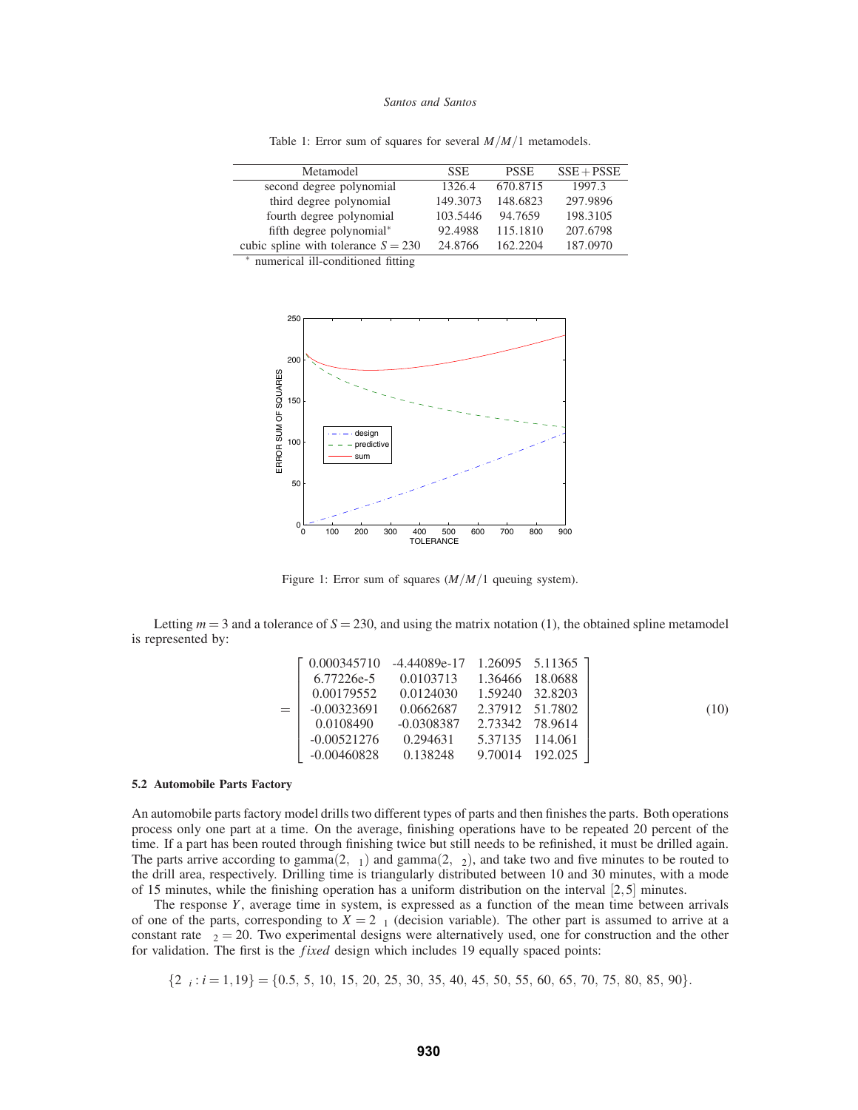| Metamodel                             | SSE.     | <b>PSSE</b> | $SSE + PSSE$ |
|---------------------------------------|----------|-------------|--------------|
| second degree polynomial              | 1326.4   | 670.8715    | 1997.3       |
| third degree polynomial               | 149.3073 | 148.6823    | 297.9896     |
| fourth degree polynomial              | 103.5446 | 94.7659     | 198.3105     |
| fifth degree polynomial*              | 92.4988  | 115.1810    | 207.6798     |
| cubic spline with tolerance $S = 230$ | 24.8766  | 162.2204    | 187.0970     |
|                                       |          |             |              |

Table 1: Error sum of squares for several *M*/*M*/1 metamodels.

numerical ill-conditioned fitting



Figure 1: Error sum of squares (*M*/*M*/1 queuing system).

Letting  $m = 3$  and a tolerance of  $S = 230$ , and using the matrix notation (1), the obtained spline metamodel is represented by:

$$
\Theta = \begin{bmatrix}\n0.000345710 & -4.44089e-17 & 1.26095 & 5.11365 \\
6.77226e-5 & 0.0103713 & 1.36466 & 18.0688 \\
0.00179552 & 0.0124030 & 1.59240 & 32.8203 \\
-0.00323691 & 0.0662687 & 2.37912 & 51.7802 \\
0.0108490 & -0.0308387 & 2.73342 & 78.9614 \\
-0.00521276 & 0.294631 & 5.37135 & 114.061 \\
-0.00460828 & 0.138248 & 9.70014 & 192.025\n\end{bmatrix}
$$
\n(10)

# **5.2 Automobile Parts Factory**

An automobile parts factory model drills two different types of parts and then finishes the parts. Both operations process only one part at a time. On the average, finishing operations have to be repeated 20 percent of the time. If a part has been routed through finishing twice but still needs to be refinished, it must be drilled again. The parts arrive according to gamma $(2,\lambda_1)$  and gamma $(2,\lambda_2)$ , and take two and five minutes to be routed to the drill area, respectively. Drilling time is triangularly distributed between 10 and 30 minutes, with a mode of 15 minutes, while the finishing operation has a uniform distribution on the interval  $[2,5]$  minutes.

The response *Y*, average time in system, is expressed as a function of the mean time between arrivals of one of the parts, corresponding to  $X = 2\lambda_1$  (decision variable). The other part is assumed to arrive at a constant rate  $\lambda_2 = 20$ . Two experimental designs were alternatively used, one for construction and the other for validation. The first is the *f ixed* design which includes 19 equally spaced points:

 ${2\lambda_i : i = 1,19} = {0.5, 5, 10, 15, 20, 25, 30, 35, 40, 45, 50, 55, 60, 65, 70, 75, 80, 85, 90}.$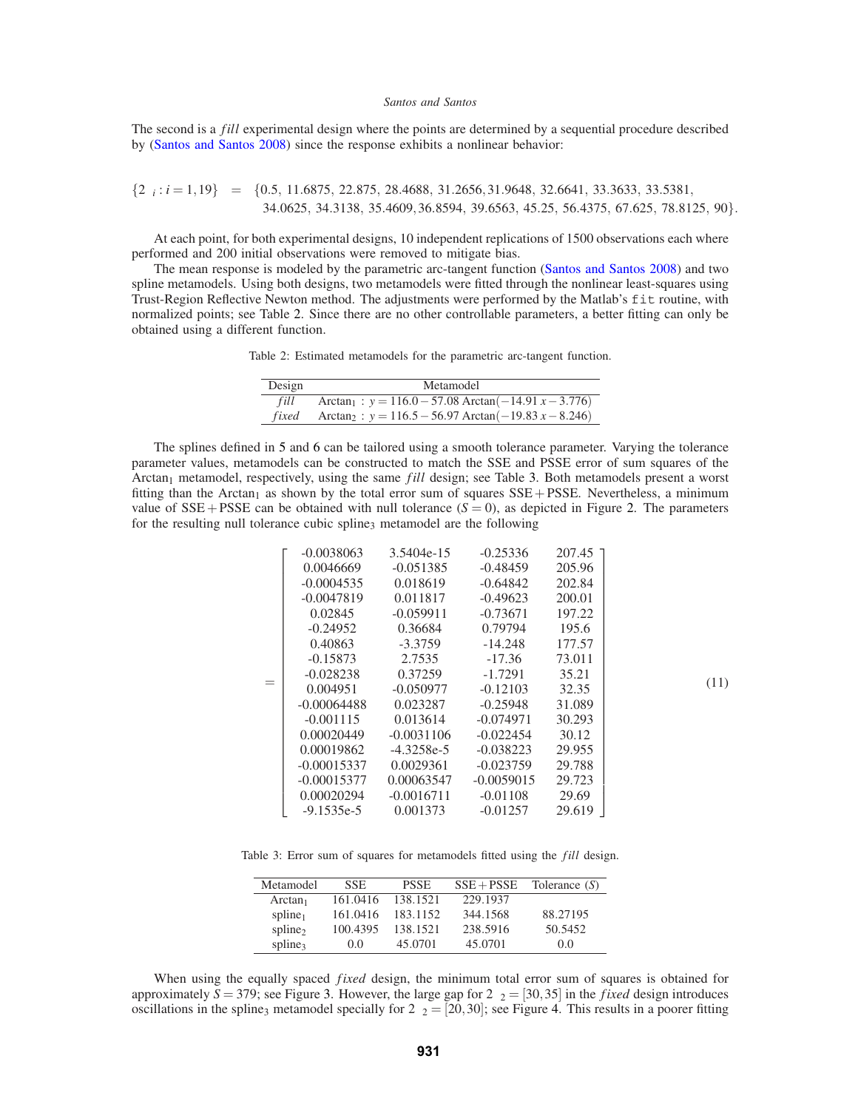The second is a *f ill* experimental design where the points are determined by a sequential procedure described by (Santos and Santos 2008) since the response exhibits a nonlinear behavior:

 ${2\lambda_i : i = 1,19} = \{0.5, 11.6875, 22.875, 28.4688, 31.2656, 31.9648, 32.6641, 33.3633, 33.5381,$ 34.0625, 34.3138, 35.4609,36.8594, 39.6563, 45.25, 56.4375, 67.625, 78.8125, 90}.

At each point, for both experimental designs, 10 independent replications of 1500 observations each where performed and 200 initial observations were removed to mitigate bias.

The mean response is modeled by the parametric arc-tangent function (Santos and Santos 2008) and two spline metamodels. Using both designs, two metamodels were fitted through the nonlinear least-squares using Trust-Region Reflective Newton method. The adjustments were performed by the Matlab's fit routine, with normalized points; see Table 2. Since there are no other controllable parameters, a better fitting can only be obtained using a different function.

Table 2: Estimated metamodels for the parametric arc-tangent function.

| Design | Metamodel                                                                |
|--------|--------------------------------------------------------------------------|
| fill   | Arctan <sub>1</sub> : $y = 116.0 - 57.08$ Arctan( $-14.91$ $x - 3.776$ ) |
| fixed  | Arctan <sub>2</sub> : $y = 116.5 - 56.97$ Arctan( $-19.83$ x $-8.246$ )  |

The splines defined in 5 and 6 can be tailored using a smooth tolerance parameter. Varying the tolerance parameter values, metamodels can be constructed to match the SSE and PSSE error of sum squares of the Arctan<sub>1</sub> metamodel, respectively, using the same *fill* design; see Table 3. Both metamodels present a worst fitting than the Arctan<sub>1</sub> as shown by the total error sum of squares  $SSE+PSSE$ . Nevertheless, a minimum value of  $SSE + PSSE$  can be obtained with null tolerance  $(S = 0)$ , as depicted in Figure 2. The parameters for the resulting null tolerance cubic spline3 metamodel are the following

|            | $-0.0038063$  | 3.5404e-15   | $-0.25336$   | 207.45 |
|------------|---------------|--------------|--------------|--------|
|            | 0.0046669     | $-0.051385$  | $-0.48459$   | 205.96 |
|            | $-0.0004535$  | 0.018619     | $-0.64842$   | 202.84 |
|            | $-0.0047819$  | 0.011817     | $-0.49623$   | 200.01 |
|            | 0.02845       | $-0.059911$  | $-0.73671$   | 197.22 |
|            | $-0.24952$    | 0.36684      | 0.79794      | 195.6  |
|            | 0.40863       | $-3.3759$    | $-14.248$    | 177.57 |
|            | $-0.15873$    | 2.7535       | $-17.36$     | 73.011 |
|            | $-0.028238$   | 0.37259      | $-1.7291$    | 35.21  |
| $\Theta =$ | 0.004951      | $-0.050977$  | $-0.12103$   | 32.35  |
|            | $-0.00064488$ | 0.023287     | $-0.25948$   | 31.089 |
|            | $-0.001115$   | 0.013614     | $-0.074971$  | 30.293 |
|            | 0.00020449    | $-0.0031106$ | $-0.022454$  | 30.12  |
|            | 0.00019862    | -4.3258e-5   | $-0.038223$  | 29.955 |
|            | $-0.00015337$ | 0.0029361    | $-0.023759$  | 29.788 |
|            | $-0.00015377$ | 0.00063547   | $-0.0059015$ | 29.723 |
|            | 0.00020294    | $-0.0016711$ | $-0.01108$   | 29.69  |
|            | $-9.1535e-5$  | 0.001373     | $-0.01257$   | 29.619 |

(11)

Table 3: Error sum of squares for metamodels fitted using the *f ill* design.

| Metamodel           | SSE.     | <b>PSSE</b> | $SSE + PSSE$ | Tolerance $(S)$ |
|---------------------|----------|-------------|--------------|-----------------|
| Arctan <sub>1</sub> | 161.0416 | 138.1521    | 229.1937     |                 |
| spline <sub>1</sub> | 161.0416 | 183.1152    | 344.1568     | 88.27195        |
| spline <sub>2</sub> | 100.4395 | 138.1521    | 238.5916     | 50.5452         |
| spline <sub>3</sub> | (0,0)    | 45.0701     | 45.0701      | 0.0             |

When using the equally spaced *f ixed* design, the minimum total error sum of squares is obtained for approximately  $S = 379$ ; see Figure 3. However, the large gap for  $2\lambda_2 = [30, 35]$  in the *fixed* design introduces oscillations in the spline<sub>3</sub> metamodel specially for  $2\lambda_2 = [20, 30]$ ; see Figure 4. This results in a poorer fitting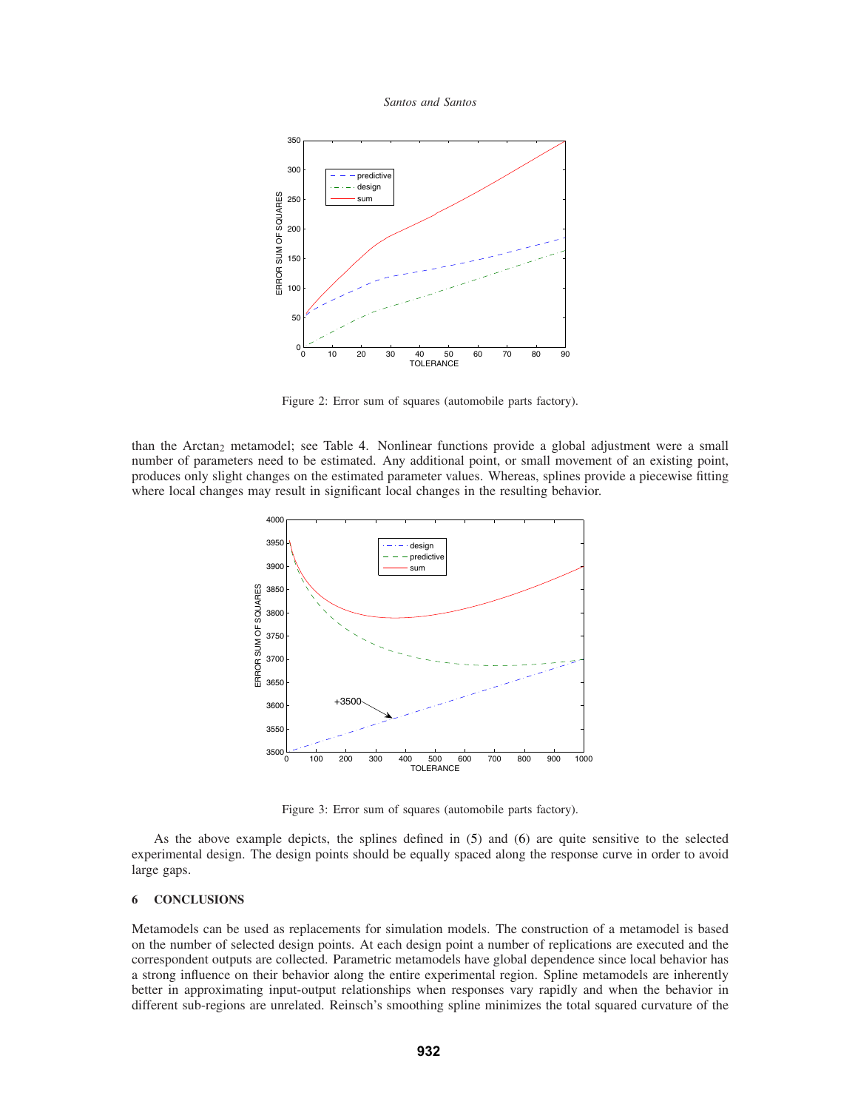*Santos and Santos*



Figure 2: Error sum of squares (automobile parts factory).

than the Arctan<sub>2</sub> metamodel; see Table 4. Nonlinear functions provide a global adjustment were a small number of parameters need to be estimated. Any additional point, or small movement of an existing point, produces only slight changes on the estimated parameter values. Whereas, splines provide a piecewise fitting where local changes may result in significant local changes in the resulting behavior.



Figure 3: Error sum of squares (automobile parts factory).

As the above example depicts, the splines defined in (5) and (6) are quite sensitive to the selected experimental design. The design points should be equally spaced along the response curve in order to avoid large gaps.

### **6 CONCLUSIONS**

Metamodels can be used as replacements for simulation models. The construction of a metamodel is based on the number of selected design points. At each design point a number of replications are executed and the correspondent outputs are collected. Parametric metamodels have global dependence since local behavior has a strong influence on their behavior along the entire experimental region. Spline metamodels are inherently better in approximating input-output relationships when responses vary rapidly and when the behavior in different sub-regions are unrelated. Reinsch's smoothing spline minimizes the total squared curvature of the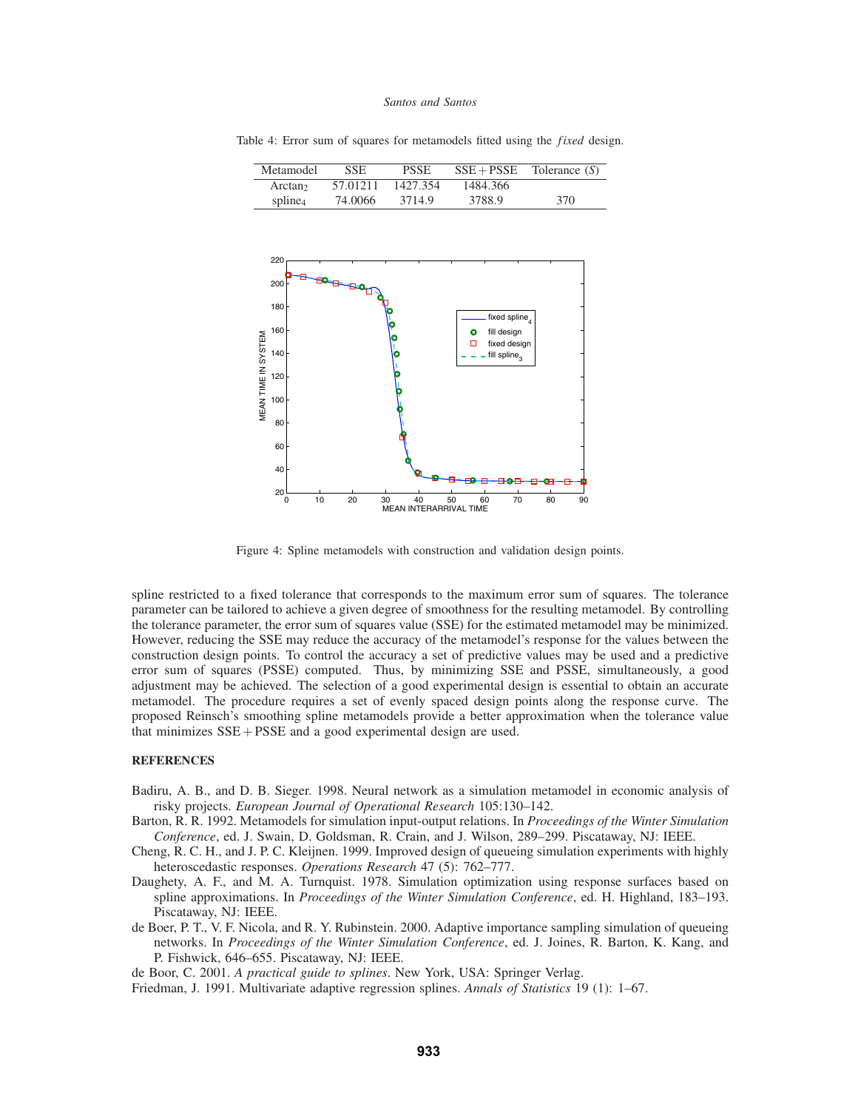| Metamodel         | SSE      | <b>PSSE</b> | $SSE + PSSE$ | Tolerance $(S)$ |
|-------------------|----------|-------------|--------------|-----------------|
| Arctan            | 57.01211 | 1427.354    | 1484.366     |                 |
| $\text{spline}_4$ | 74.0066  | 3714.9      | 3788.9       | 370             |



Table 4: Error sum of squares for metamodels fitted using the *f ixed* design.

Figure 4: Spline metamodels with construction and validation design points.

spline restricted to a fixed tolerance that corresponds to the maximum error sum of squares. The tolerance parameter can be tailored to achieve a given degree of smoothness for the resulting metamodel. By controlling the tolerance parameter, the error sum of squares value (SSE) for the estimated metamodel may be minimized. However, reducing the SSE may reduce the accuracy of the metamodel's response for the values between the construction design points. To control the accuracy a set of predictive values may be used and a predictive error sum of squares (PSSE) computed. Thus, by minimizing SSE and PSSE, simultaneously, a good adjustment may be achieved. The selection of a good experimental design is essential to obtain an accurate metamodel. The procedure requires a set of evenly spaced design points along the response curve. The proposed Reinsch's smoothing spline metamodels provide a better approximation when the tolerance value that minimizes  $SSE + PSSE$  and a good experimental design are used.

# **REFERENCES**

- Badiru, A. B., and D. B. Sieger. 1998. Neural network as a simulation metamodel in economic analysis of risky projects. *European Journal of Operational Research* 105:130–142.
- Barton, R. R. 1992. Metamodels for simulation input-output relations. In *Proceedings of the Winter Simulation Conference*, ed. J. Swain, D. Goldsman, R. Crain, and J. Wilson, 289–299. Piscataway, NJ: IEEE.
- Cheng, R. C. H., and J. P. C. Kleijnen. 1999. Improved design of queueing simulation experiments with highly heteroscedastic responses. *Operations Research* 47 (5): 762–777.
- Daughety, A. F., and M. A. Turnquist. 1978. Simulation optimization using response surfaces based on spline approximations. In *Proceedings of the Winter Simulation Conference*, ed. H. Highland, 183–193. Piscataway, NJ: IEEE.
- de Boer, P. T., V. F. Nicola, and R. Y. Rubinstein. 2000. Adaptive importance sampling simulation of queueing networks. In *Proceedings of the Winter Simulation Conference*, ed. J. Joines, R. Barton, K. Kang, and P. Fishwick, 646–655. Piscataway, NJ: IEEE.

de Boor, C. 2001. *A practical guide to splines*. New York, USA: Springer Verlag.

Friedman, J. 1991. Multivariate adaptive regression splines. *Annals of Statistics* 19 (1): 1–67.